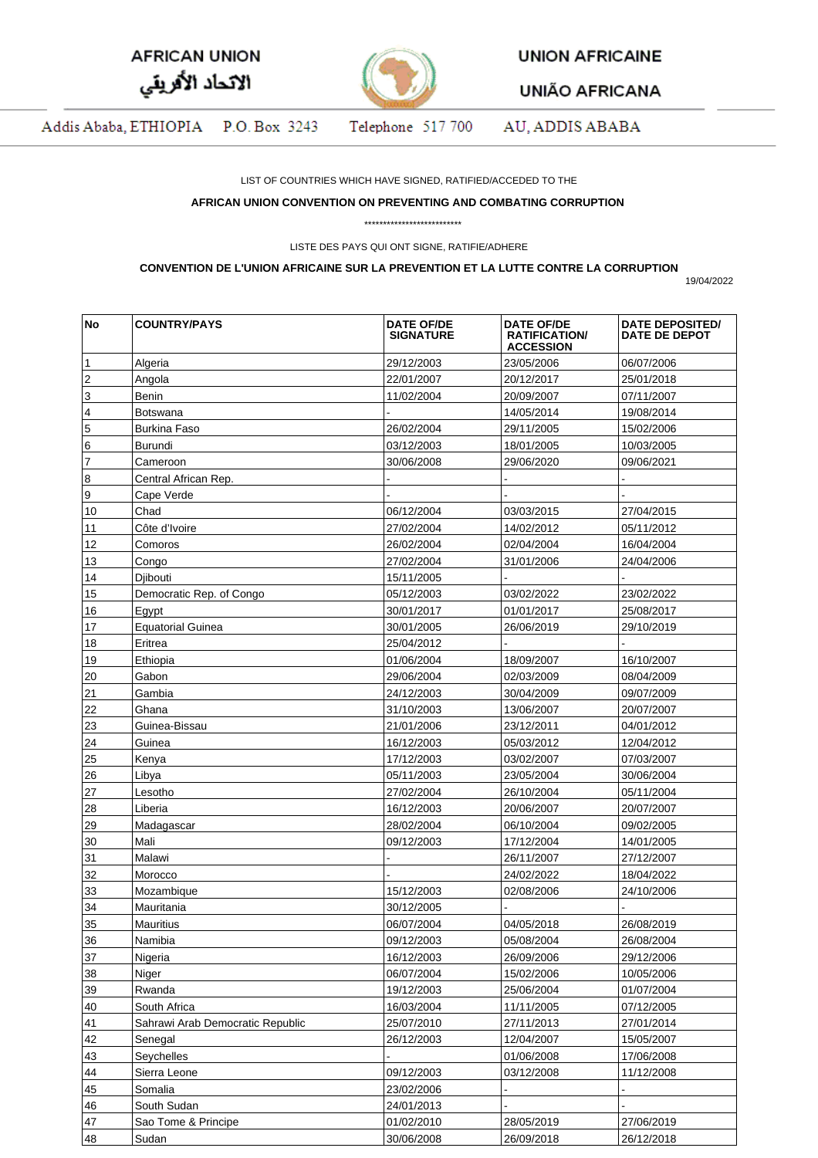| <b>AFRICAN UNION</b> |  |
|----------------------|--|
| الاتحاد الأفريقي     |  |



**UNION AFRICAINE** 

**UNIÃO AFRICANA** 

Addis Ababa, ETHIOPIA P.O. Box 3243 Telephone 517 700 AU, ADDIS ABABA

LIST OF COUNTRIES WHICH HAVE SIGNED, RATIFIED/ACCEDED TO THE

## **AFRICAN UNION CONVENTION ON PREVENTING AND COMBATING CORRUPTION**

\*\*\*\*\*\*\*\*\*\*\*\*\*\*\*\*\*\*\*\*\*\*\*\*\*\*

LISTE DES PAYS QUI ONT SIGNE, RATIFIE/ADHERE

## **CONVENTION DE L'UNION AFRICAINE SUR LA PREVENTION ET LA LUTTE CONTRE LA CORRUPTION**

19/04/2022

| No             | <b>COUNTRY/PAYS</b>              | <b>DATE OF/DE</b><br><b>SIGNATURE</b> | <b>DATE OF/DE</b><br><b>RATIFICATION/</b><br><b>ACCESSION</b> | DATE DEPOSITED/<br>DATE DE DEPOT |
|----------------|----------------------------------|---------------------------------------|---------------------------------------------------------------|----------------------------------|
| 1              | Algeria                          | 29/12/2003                            | 23/05/2006                                                    | 06/07/2006                       |
| 2              | Angola                           | 22/01/2007                            | 20/12/2017                                                    | 25/01/2018                       |
| 3              | Benin                            | 11/02/2004                            | 20/09/2007                                                    | 07/11/2007                       |
| 4              | Botswana                         |                                       | 14/05/2014                                                    | 19/08/2014                       |
| 5              | Burkina Faso                     | 26/02/2004                            | 29/11/2005                                                    | 15/02/2006                       |
| 6              | Burundi                          | 03/12/2003                            | 18/01/2005                                                    | 10/03/2005                       |
| $\overline{7}$ | Cameroon                         | 30/06/2008                            | 29/06/2020                                                    | 09/06/2021                       |
| 8              | Central African Rep.             |                                       |                                                               |                                  |
| 9              | Cape Verde                       |                                       |                                                               |                                  |
| 10             | Chad                             | 06/12/2004                            | 03/03/2015                                                    | 27/04/2015                       |
| 11             | Côte d'Ivoire                    | 27/02/2004                            | 14/02/2012                                                    | 05/11/2012                       |
| 12             | Comoros                          | 26/02/2004                            | 02/04/2004                                                    | 16/04/2004                       |
| 13             | Congo                            | 27/02/2004                            | 31/01/2006                                                    | 24/04/2006                       |
| 14             | Djibouti                         | 15/11/2005                            |                                                               |                                  |
| 15             | Democratic Rep. of Congo         | 05/12/2003                            | 03/02/2022                                                    | 23/02/2022                       |
|                |                                  |                                       |                                                               |                                  |
| 16             | Egypt                            | 30/01/2017                            | 01/01/2017                                                    | 25/08/2017                       |
| 17             | <b>Equatorial Guinea</b>         | 30/01/2005                            | 26/06/2019                                                    | 29/10/2019                       |
| 18             | Eritrea                          | 25/04/2012                            |                                                               |                                  |
| 19             | Ethiopia                         | 01/06/2004                            | 18/09/2007                                                    | 16/10/2007                       |
| 20             | Gabon                            | 29/06/2004                            | 02/03/2009                                                    | 08/04/2009                       |
| 21             | Gambia                           | 24/12/2003                            | 30/04/2009                                                    | 09/07/2009                       |
| 22             | Ghana                            | 31/10/2003                            | 13/06/2007                                                    | 20/07/2007                       |
| 23             | Guinea-Bissau                    | 21/01/2006                            | 23/12/2011                                                    | 04/01/2012                       |
| 24             | Guinea                           | 16/12/2003                            | 05/03/2012                                                    | 12/04/2012                       |
| 25             | Kenya                            | 17/12/2003                            | 03/02/2007                                                    | 07/03/2007                       |
| 26             | Libya                            | 05/11/2003                            | 23/05/2004                                                    | 30/06/2004                       |
| 27             | Lesotho                          | 27/02/2004                            | 26/10/2004                                                    | 05/11/2004                       |
| 28             | Liberia                          | 16/12/2003                            | 20/06/2007                                                    | 20/07/2007                       |
| 29             | Madagascar                       | 28/02/2004                            | 06/10/2004                                                    | 09/02/2005                       |
| 30             | Mali                             | 09/12/2003                            | 17/12/2004                                                    | 14/01/2005                       |
| 31             | Malawi                           |                                       | 26/11/2007                                                    | 27/12/2007                       |
| 32             | Morocco                          |                                       | 24/02/2022                                                    | 18/04/2022                       |
| 33             | Mozambique                       | 15/12/2003                            | 02/08/2006                                                    | 24/10/2006                       |
| 34             | Mauritania                       | 30/12/2005                            |                                                               |                                  |
| 35             | Mauritius                        | 06/07/2004                            | 04/05/2018                                                    | 26/08/2019                       |
| 36             | Namibia                          | 09/12/2003                            | 05/08/2004                                                    | 26/08/2004                       |
| 37             | Nigeria                          | 16/12/2003                            | 26/09/2006                                                    | 29/12/2006                       |
| 38             | Niger                            | 06/07/2004                            | 15/02/2006                                                    | 10/05/2006                       |
| 39             | Rwanda                           | 19/12/2003                            | 25/06/2004                                                    | 01/07/2004                       |
| 40             | South Africa                     | 16/03/2004                            | 11/11/2005                                                    | 07/12/2005                       |
| 41             | Sahrawi Arab Democratic Republic | 25/07/2010                            | 27/11/2013                                                    | 27/01/2014                       |
| 42             | Senegal                          | 26/12/2003                            | 12/04/2007                                                    | 15/05/2007                       |
| 43             | Seychelles                       |                                       | 01/06/2008                                                    | 17/06/2008                       |
| 44             | Sierra Leone                     | 09/12/2003                            | 03/12/2008                                                    | 11/12/2008                       |
| 45             | Somalia                          | 23/02/2006                            |                                                               |                                  |
|                |                                  |                                       |                                                               |                                  |
| 46             | South Sudan                      | 24/01/2013                            |                                                               |                                  |
| 47             | Sao Tome & Principe              | 01/02/2010                            | 28/05/2019                                                    | 27/06/2019                       |
| 48             | Sudan                            | 30/06/2008                            | 26/09/2018                                                    | 26/12/2018                       |